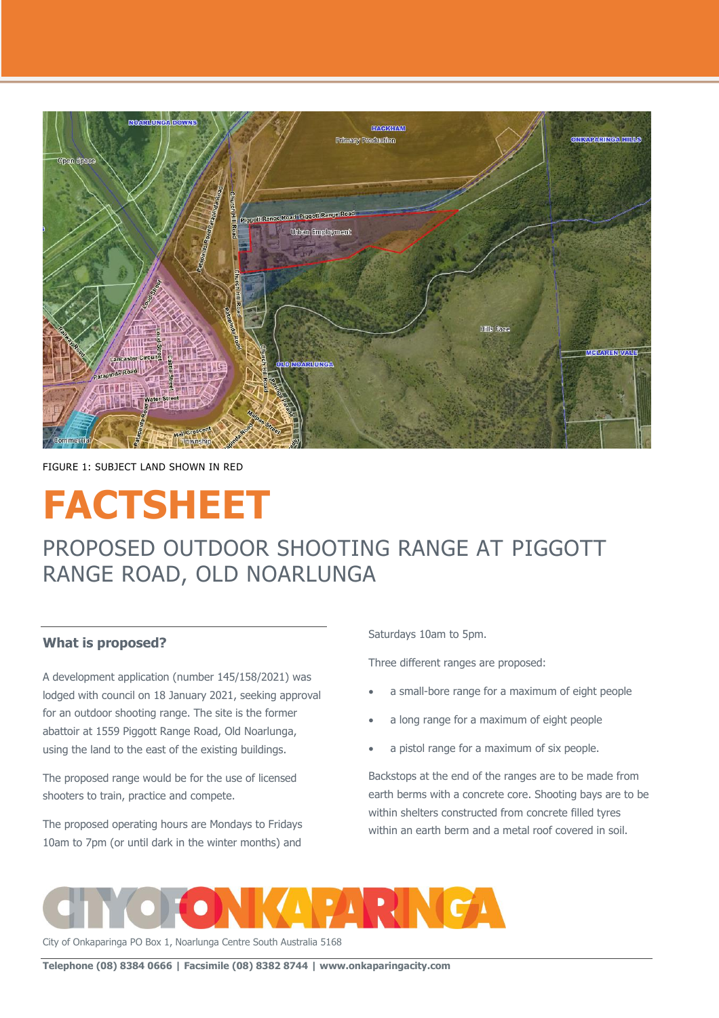

FIGURE 1: SUBJECT LAND SHOWN IN RED

# **FACTSHEET**

# PROPOSED OUTDOOR SHOOTING RANGE AT PIGGOTT RANGE ROAD, OLD NOARLUNGA

# **What is proposed?**

A development application (number 145/158/2021) was lodged with council on 18 January 2021, seeking approval for an outdoor shooting range. The site is the former abattoir at 1559 Piggott Range Road, Old Noarlunga, using the land to the east of the existing buildings.

The proposed range would be for the use of licensed shooters to train, practice and compete.

The proposed operating hours are Mondays to Fridays 10am to 7pm (or until dark in the winter months) and

Saturdays 10am to 5pm.

Three different ranges are proposed:

- a small-bore range for a maximum of eight people
- a long range for a maximum of eight people
- a pistol range for a maximum of six people.

Backstops at the end of the ranges are to be made from earth berms with a concrete core. Shooting bays are to be within shelters constructed from concrete filled tyres within an earth berm and a metal roof covered in soil.



City of Onkaparinga PO Box 1, Noarlunga Centre South Australia 5168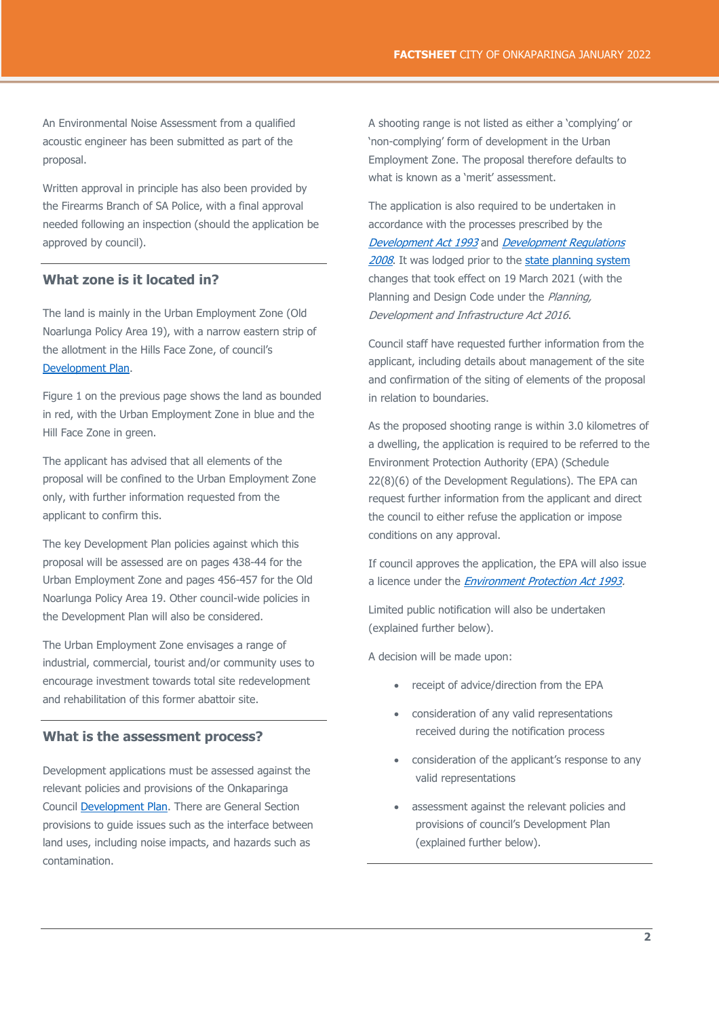An Environmental Noise Assessment from a qualified acoustic engineer has been submitted as part of the proposal.

Written approval in principle has also been provided by the Firearms Branch of SA Police, with a final approval needed following an inspection (should the application be approved by council).

# **What zone is it located in?**

The land is mainly in the Urban Employment Zone (Old Noarlunga Policy Area 19), with a narrow eastern strip of the allotment in the Hills Face Zone, of council's [Development Plan.](https://www.dpti.sa.gov.au/__data/assets/pdf_file/0008/172547/Onkaparinga_Council_Development_Plan.pdf)

Figure 1 on the previous page shows the land as bounded in red, with the Urban Employment Zone in blue and the Hill Face Zone in green.

The applicant has advised that all elements of the proposal will be confined to the Urban Employment Zone only, with further information requested from the applicant to confirm this.

The key Development Plan policies against which this proposal will be assessed are on pages 438-44 for the Urban Employment Zone and pages 456-457 for the Old Noarlunga Policy Area 19. Other council-wide policies in the Development Plan will also be considered.

The Urban Employment Zone envisages a range of industrial, commercial, tourist and/or community uses to encourage investment towards total site redevelopment and rehabilitation of this former abattoir site.

#### **What is the assessment process?**

Development applications must be assessed against the relevant policies and provisions of the Onkaparinga Council [Development Plan.](https://www.onkaparingacity.com/Planning-and-development/Councils-Development-Plan) There are General Section provisions to guide issues such as the interface between land uses, including noise impacts, and hazards such as contamination.

A shooting range is not listed as either a 'complying' or 'non-complying' form of development in the Urban Employment Zone. The proposal therefore defaults to what is known as a 'merit' assessment.

The application is also required to be undertaken in accordance with the processes prescribed by the [Development Act 1993](https://www.legislation.sa.gov.au/LZ/C/A/DEVELOPMENT%20ACT%201993.aspx) and Development Regulations [2008](https://www.legislation.sa.gov.au/LZ/C/R/Development%20Regulations%202008.aspx). It was lodged prior to the [state planning system](https://plan.sa.gov.au/home) changes that took effect on 19 March 2021 (with the Planning and Design Code under the Planning, Development and Infrastructure Act 2016.

Council staff have requested further information from the applicant, including details about management of the site and confirmation of the siting of elements of the proposal in relation to boundaries.

As the proposed shooting range is within 3.0 kilometres of a dwelling, the application is required to be referred to the Environment Protection Authority (EPA) (Schedule 22(8)(6) of the Development Regulations). The EPA can request further information from the applicant and direct the council to either refuse the application or impose conditions on any approval.

If council approves the application, the EPA will also issue a licence under the *[Environment Protection Act 1993.](https://www.legislation.sa.gov.au/LZ/C/A/ENVIRONMENT%20PROTECTION%20ACT%201993.aspx)* 

Limited public notification will also be undertaken (explained further below).

A decision will be made upon:

- receipt of advice/direction from the EPA
- consideration of any valid representations received during the notification process
- consideration of the applicant's response to any valid representations
- assessment against the relevant policies and provisions of council's Development Plan (explained further below).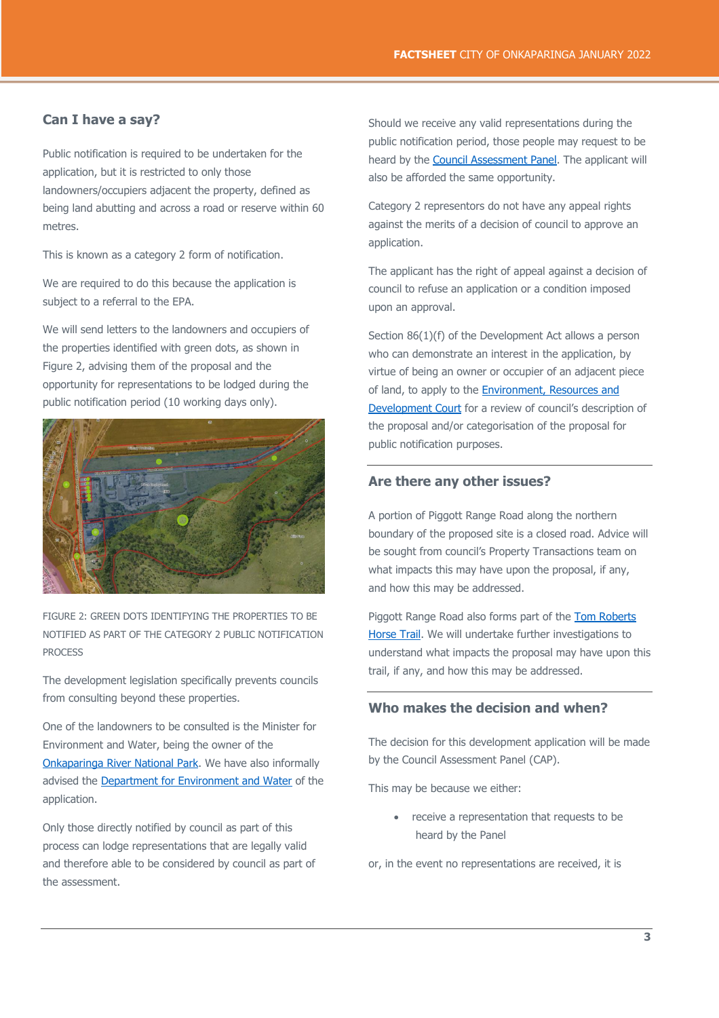# **Can I have a say?**

Public notification is required to be undertaken for the application, but it is restricted to only those landowners/occupiers adjacent the property, defined as being land abutting and across a road or reserve within 60 metres.

This is known as a category 2 form of notification.

We are required to do this because the application is subject to a referral to the EPA.

We will send letters to the landowners and occupiers of the properties identified with green dots, as shown in Figure 2, advising them of the proposal and the opportunity for representations to be lodged during the public notification period (10 working days only).



FIGURE 2: GREEN DOTS IDENTIFYING THE PROPERTIES TO BE NOTIFIED AS PART OF THE CATEGORY 2 PUBLIC NOTIFICATION PROCESS

The development legislation specifically prevents councils from consulting beyond these properties.

One of the landowners to be consulted is the Minister for Environment and Water, being the owner of the [Onkaparinga River National Park.](https://www.parks.sa.gov.au/parks/onkaparinga-river-national-park) We have also informally advised the [Department for Environment and Water](https://www.environment.sa.gov.au/Home) of the application.

Only those directly notified by council as part of this process can lodge representations that are legally valid and therefore able to be considered by council as part of the assessment.

Should we receive any valid representations during the public notification period, those people may request to be heard by the **Council Assessment Panel**. The applicant will also be afforded the same opportunity.

Category 2 representors do not have any appeal rights against the merits of a decision of council to approve an application.

The applicant has the right of appeal against a decision of council to refuse an application or a condition imposed upon an approval.

Section 86(1)(f) of the Development Act allows a person who can demonstrate an interest in the application, by virtue of being an owner or occupier of an adjacent piece of land, to apply to the **Environment**, Resources and [Development Court](http://www.courts.sa.gov.au/OurCourts/ERDCourt/Pages/default.aspx) for a review of council's description of the proposal and/or categorisation of the proposal for public notification purposes.

### **Are there any other issues?**

A portion of Piggott Range Road along the northern boundary of the proposed site is a closed road. Advice will be sought from council's Property Transactions team on what impacts this may have upon the proposal, if any, and how this may be addressed.

Piggott Range Road also forms part of the Tom [Roberts](http://www.southaustraliantrails.com/trails/tom-roberts-horse-trail/)  [Horse Trail.](http://www.southaustraliantrails.com/trails/tom-roberts-horse-trail/) We will undertake further investigations to understand what impacts the proposal may have upon this trail, if any, and how this may be addressed.

# **Who makes the decision and when?**

The decision for this development application will be made by the Council Assessment Panel (CAP).

This may be because we either:

• receive a representation that requests to be heard by the Panel

or, in the event no representations are received, it is